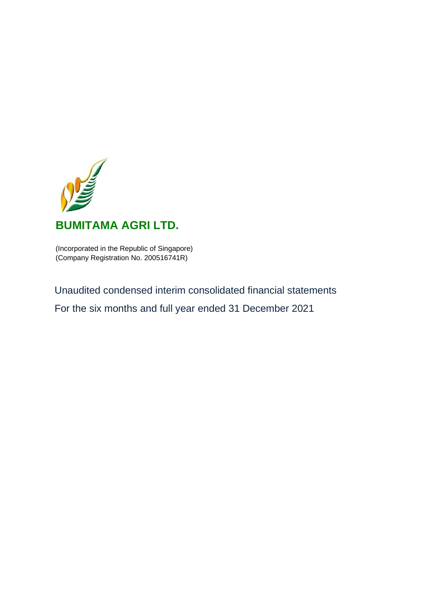

# **BUMITAMA AGRI LTD.**

(Incorporated in the Republic of Singapore) (Company Registration No. 200516741R)

Unaudited condensed interim consolidated financial statements For the six months and full year ended 31 December 2021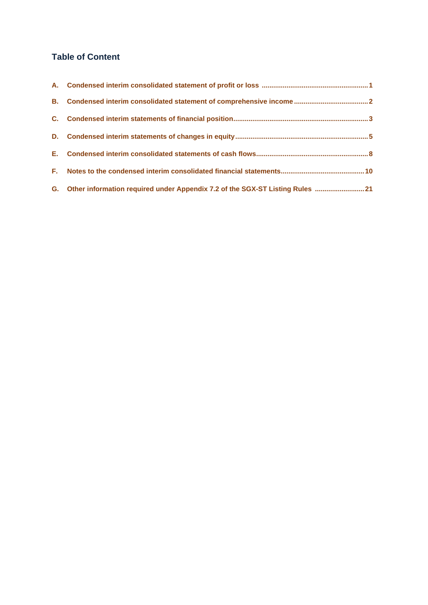# **Table of Content**

| G. Other information required under Appendix 7.2 of the SGX-ST Listing Rules  21 |
|----------------------------------------------------------------------------------|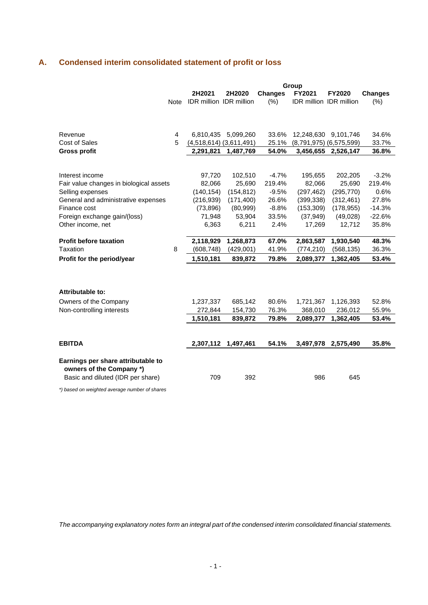# **A. Condensed interim consolidated statement of profit or loss**

|                                         |             | Group                       |            |                |                                |                             |                |
|-----------------------------------------|-------------|-----------------------------|------------|----------------|--------------------------------|-----------------------------|----------------|
|                                         |             | 2H2021                      | 2H2020     | <b>Changes</b> | FY2021                         | <b>FY2020</b>               | <b>Changes</b> |
|                                         | <b>Note</b> | IDR million IDR million     |            | (% )           | <b>IDR million IDR million</b> |                             | (% )           |
|                                         |             |                             |            |                |                                |                             |                |
|                                         |             |                             |            |                |                                |                             |                |
|                                         |             |                             |            |                |                                |                             |                |
| Revenue                                 | 4           | 6,810,435                   | 5,099,260  | 33.6%          | 12,248,630                     | 9,101,746                   | 34.6%          |
| <b>Cost of Sales</b>                    | 5           | $(4,518,614)$ $(3,611,491)$ |            | 25.1%          |                                | $(8,791,975)$ $(6,575,599)$ | 33.7%          |
| <b>Gross profit</b>                     |             | 2,291,821                   | 1,487,769  | 54.0%          | 3,456,655                      | 2,526,147                   | 36.8%          |
|                                         |             |                             |            |                |                                |                             |                |
|                                         |             |                             |            |                |                                |                             |                |
| Interest income                         |             | 97,720                      | 102,510    | $-4.7%$        | 195,655                        | 202,205                     | $-3.2%$        |
| Fair value changes in biological assets |             | 82,066                      | 25,690     | 219.4%         | 82,066                         | 25,690                      | 219.4%         |
| Selling expenses                        |             | (140, 154)                  | (154, 812) | $-9.5%$        | (297, 462)                     | (295, 770)                  | 0.6%           |
| General and administrative expenses     |             | (216, 939)                  | (171, 400) | 26.6%          | (399, 338)                     | (312, 461)                  | 27.8%          |
| Finance cost                            |             | (73, 896)                   | (80, 999)  | $-8.8%$        | (153, 309)                     | (178, 955)                  | $-14.3%$       |
| Foreign exchange gain/(loss)            |             | 71,948                      | 53,904     | 33.5%          | (37, 949)                      | (49, 028)                   | $-22.6%$       |
| Other income, net                       |             | 6,363                       | 6,211      | 2.4%           | 17,269                         | 12,712                      | 35.8%          |
|                                         |             |                             |            |                |                                |                             |                |
| <b>Profit before taxation</b>           |             | 2,118,929                   | 1,268,873  | 67.0%          | 2,863,587                      | 1,930,540                   | 48.3%          |
| Taxation                                | 8           | (608, 748)                  | (429,001)  | 41.9%          | (774, 210)                     | (568, 135)                  | 36.3%          |
| Profit for the period/year              |             | 1,510,181                   | 839,872    | 79.8%          | 2,089,377                      | 1,362,405                   | 53.4%          |
|                                         |             |                             |            |                |                                |                             |                |
|                                         |             |                             |            |                |                                |                             |                |
|                                         |             |                             |            |                |                                |                             |                |
| Attributable to:                        |             |                             |            |                |                                |                             |                |
| Owners of the Company                   |             | 1,237,337                   | 685,142    | 80.6%          | 1,721,367                      | 1,126,393                   | 52.8%          |
| Non-controlling interests               |             | 272,844                     | 154,730    | 76.3%          | 368,010                        | 236,012                     | 55.9%          |
|                                         |             | 1,510,181                   | 839,872    | 79.8%          | 2,089,377                      | 1,362,405                   | 53.4%          |
|                                         |             |                             |            |                |                                |                             |                |
|                                         |             |                             |            |                |                                |                             |                |
| <b>EBITDA</b>                           |             | 2,307,112                   | 1,497,461  | 54.1%          | 3,497,978                      | 2,575,490                   | 35.8%          |
|                                         |             |                             |            |                |                                |                             |                |
| Earnings per share attributable to      |             |                             |            |                |                                |                             |                |
| owners of the Company *)                |             |                             |            |                |                                |                             |                |
| Basic and diluted (IDR per share)       |             | 709                         | 392        |                | 986                            | 645                         |                |
|                                         |             |                             |            |                |                                |                             |                |

*\*) based on weighted average number of shares*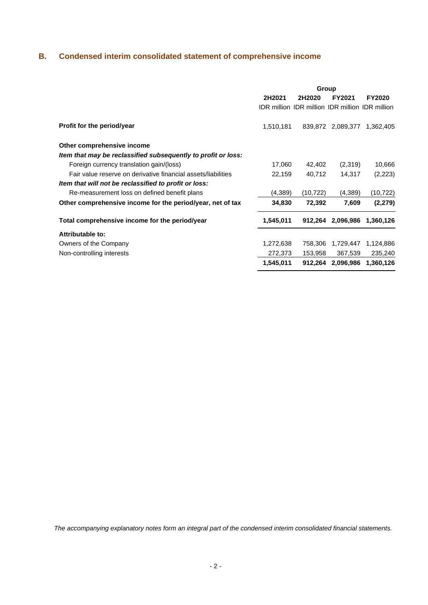# **B. Condensed interim consolidated statement of comprehensive income**

|                                                               | Group     |                                                        |                   |               |  |  |
|---------------------------------------------------------------|-----------|--------------------------------------------------------|-------------------|---------------|--|--|
|                                                               | 2H2021    | 2H2020                                                 | FY2021            | <b>FY2020</b> |  |  |
|                                                               |           | <b>IDR million IDR million IDR million IDR million</b> |                   |               |  |  |
| Profit for the period/year                                    | 1,510,181 |                                                        | 839,872 2,089,377 | 1,362,405     |  |  |
| Other comprehensive income                                    |           |                                                        |                   |               |  |  |
| Item that may be reclassified subsequently to profit or loss: |           |                                                        |                   |               |  |  |
| Foreign currency translation gain/(loss)                      | 17,060    | 42,402                                                 | (2,319)           | 10,666        |  |  |
| Fair value reserve on derivative financial assets/liabilities | 22,159    | 40,712                                                 | 14,317            | (2,223)       |  |  |
| Item that will not be reclassified to profit or loss:         |           |                                                        |                   |               |  |  |
| Re-measurement loss on defined benefit plans                  | (4,389)   | (10, 722)                                              | (4,389)           | (10, 722)     |  |  |
| Other comprehensive income for the period/year, net of tax    | 34,830    | 72,392                                                 | 7,609             | (2, 279)      |  |  |
| Total comprehensive income for the period/year                | 1,545,011 | 912,264                                                | 2,096,986         | 1,360,126     |  |  |
| Attributable to:                                              |           |                                                        |                   |               |  |  |
| Owners of the Company                                         | 1,272,638 | 758,306                                                | 1,729,447         | 1,124,886     |  |  |
| Non-controlling interests                                     | 272,373   | 153,958                                                | 367,539           | 235,240       |  |  |
|                                                               | 1,545,011 | 912,264                                                | 2,096,986         | 1,360,126     |  |  |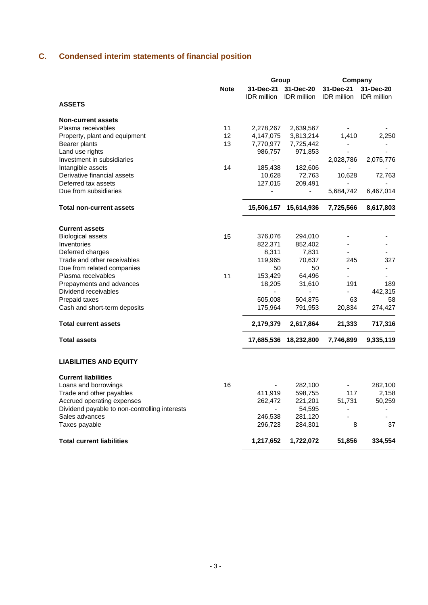# **C. Condensed interim statements of financial position**

|                                               |             | Group              |                        | Company                  |                    |  |
|-----------------------------------------------|-------------|--------------------|------------------------|--------------------------|--------------------|--|
|                                               | <b>Note</b> | 31-Dec-21          | 31-Dec-20              | 31-Dec-21                | 31-Dec-20          |  |
| <b>ASSETS</b>                                 |             | <b>IDR</b> million | <b>IDR</b> million     | <b>IDR</b> million       | <b>IDR</b> million |  |
|                                               |             |                    |                        |                          |                    |  |
| <b>Non-current assets</b>                     |             |                    |                        |                          |                    |  |
| Plasma receivables                            | 11          | 2,278,267          | 2,639,567              |                          |                    |  |
| Property, plant and equipment                 | 12          | 4,147,075          | 3,813,214              | 1,410                    | 2,250              |  |
| Bearer plants                                 | 13          | 7,770,977          | 7,725,442              |                          |                    |  |
| Land use rights                               |             | 986,757            | 971,853                |                          |                    |  |
| Investment in subsidiaries                    |             |                    |                        | 2,028,786                | 2,075,776          |  |
| Intangible assets                             | 14          | 185,438            | 182,606                |                          |                    |  |
| Derivative financial assets                   |             | 10,628             | 72,763                 | 10,628                   | 72,763             |  |
| Deferred tax assets                           |             | 127,015            | 209,491                |                          |                    |  |
| Due from subsidiaries                         |             |                    | L,                     | 5,684,742                | 6,467,014          |  |
| <b>Total non-current assets</b>               |             | 15,506,157         | 15,614,936             | 7,725,566                | 8,617,803          |  |
|                                               |             |                    |                        |                          |                    |  |
| <b>Current assets</b>                         |             |                    |                        |                          |                    |  |
| <b>Biological assets</b>                      | 15          | 376,076            | 294,010                |                          |                    |  |
| Inventories                                   |             | 822,371            | 852,402                |                          |                    |  |
| Deferred charges                              |             | 8,311              | 7,831                  |                          |                    |  |
| Trade and other receivables                   |             | 119,965            | 70,637                 | 245                      | 327                |  |
| Due from related companies                    |             | 50                 | 50                     | $\blacksquare$           | $\blacksquare$     |  |
| Plasma receivables                            | 11          | 153,429            | 64,496                 |                          |                    |  |
| Prepayments and advances                      |             | 18,205             | 31,610                 | 191                      | 189                |  |
| Dividend receivables                          |             |                    |                        | 63                       | 442,315            |  |
| Prepaid taxes                                 |             | 505,008            | 504,875                |                          | 58                 |  |
| Cash and short-term deposits                  |             | 175,964            | 791,953                | 20,834                   | 274,427            |  |
| <b>Total current assets</b>                   |             | 2,179,379          | 2,617,864              | 21,333                   | 717,316            |  |
| <b>Total assets</b>                           |             |                    | 17,685,536  18,232,800 | 7,746,899                | 9,335,119          |  |
| <b>LIABILITIES AND EQUITY</b>                 |             |                    |                        |                          |                    |  |
| <b>Current liabilities</b>                    |             |                    |                        |                          |                    |  |
| Loans and borrowings                          | 16          | ٠                  | 282,100                | $\overline{\phantom{a}}$ | 282,100            |  |
| Trade and other payables                      |             | 411,919            | 598,755                | 117                      | 2,158              |  |
| Accrued operating expenses                    |             | 262,472            | 221,201                | 51,731                   | 50,259             |  |
| Dividend payable to non-controlling interests |             |                    | 54,595                 |                          |                    |  |
| Sales advances                                |             | 246,538            | 281,120                |                          |                    |  |
| Taxes payable                                 |             | 296,723            | 284,301                | 8                        | 37                 |  |
| <b>Total current liabilities</b>              |             | 1,217,652          | 1,722,072              | 51,856                   | 334,554            |  |
|                                               |             |                    |                        |                          |                    |  |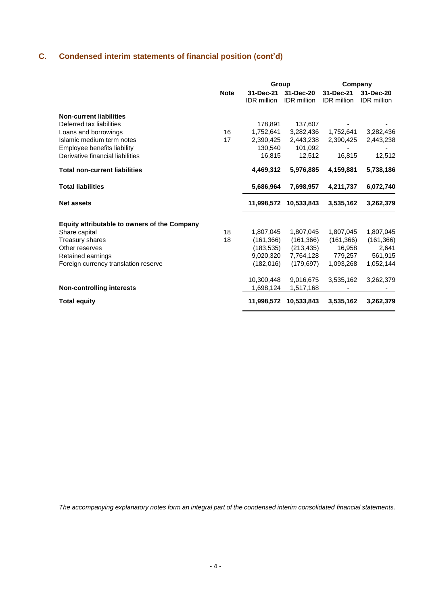# **C. Condensed interim statements of financial position (cont'd)**

|                                              |             | Group                           |                                 | Company                         |                                 |  |
|----------------------------------------------|-------------|---------------------------------|---------------------------------|---------------------------------|---------------------------------|--|
|                                              | <b>Note</b> | 31-Dec-21<br><b>IDR</b> million | 31-Dec-20<br><b>IDR</b> million | 31-Dec-21<br><b>IDR</b> million | 31-Dec-20<br><b>IDR</b> million |  |
| <b>Non-current liabilities</b>               |             |                                 |                                 |                                 |                                 |  |
| Deferred tax liabilities                     |             | 178,891                         | 137,607                         |                                 |                                 |  |
| Loans and borrowings                         | 16          | 1,752,641                       | 3,282,436                       | 1,752,641                       | 3,282,436                       |  |
| Islamic medium term notes                    | 17          | 2.390.425                       | 2,443,238                       | 2,390,425                       | 2,443,238                       |  |
| Employee benefits liability                  |             | 130,540                         | 101,092                         |                                 |                                 |  |
| Derivative financial liabilities             |             | 16,815                          | 12,512                          | 16,815                          | 12,512                          |  |
| <b>Total non-current liabilities</b>         |             | 4,469,312                       | 5,976,885                       | 4,159,881                       | 5,738,186                       |  |
| <b>Total liabilities</b>                     |             | 5,686,964                       | 7,698,957                       | 4,211,737                       | 6,072,740                       |  |
| <b>Net assets</b>                            |             | 11,998,572                      | 10,533,843                      | 3,535,162                       | 3,262,379                       |  |
| Equity attributable to owners of the Company |             |                                 |                                 |                                 |                                 |  |
| Share capital                                | 18          | 1,807,045                       | 1,807,045                       | 1,807,045                       | 1,807,045                       |  |
| Treasury shares                              | 18          | (161, 366)                      | (161, 366)                      | (161, 366)                      | (161, 366)                      |  |
| Other reserves                               |             | (183, 535)                      | (213, 435)                      | 16,958                          | 2,641                           |  |
| Retained earnings                            |             | 9,020,320                       | 7,764,128                       | 779,257                         | 561,915                         |  |
| Foreign currency translation reserve         |             | (182, 016)                      | (179, 697)                      | 1,093,268                       | 1,052,144                       |  |
|                                              |             | 10,300,448                      | 9,016,675                       | 3,535,162                       | 3,262,379                       |  |
| <b>Non-controlling interests</b>             |             | 1,698,124                       | 1,517,168                       |                                 |                                 |  |
| <b>Total equity</b>                          |             | 11,998,572                      | 10,533,843                      | 3,535,162                       | 3,262,379                       |  |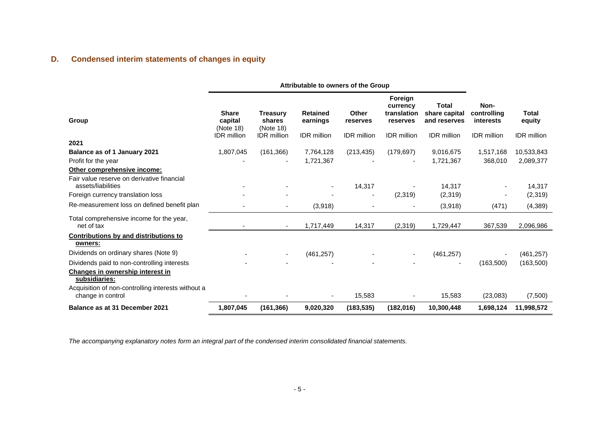# **D. Condensed interim statements of changes in equity**

|                                                                                    | Attributable to owners of the Group                        |                                                              |                                                   |                                         |                                                                      |                                                              |                                                               |                                              |
|------------------------------------------------------------------------------------|------------------------------------------------------------|--------------------------------------------------------------|---------------------------------------------------|-----------------------------------------|----------------------------------------------------------------------|--------------------------------------------------------------|---------------------------------------------------------------|----------------------------------------------|
| Group                                                                              | <b>Share</b><br>capital<br>(Note 18)<br><b>IDR</b> million | <b>Treasury</b><br>shares<br>(Note 18)<br><b>IDR</b> million | <b>Retained</b><br>earnings<br><b>IDR</b> million | Other<br>reserves<br><b>IDR</b> million | Foreign<br>currency<br>translation<br>reserves<br><b>IDR</b> million | Total<br>share capital<br>and reserves<br><b>IDR</b> million | Non-<br>controlling<br><i>interests</i><br><b>IDR</b> million | <b>Total</b><br>equity<br><b>IDR</b> million |
| 2021                                                                               |                                                            |                                                              |                                                   |                                         |                                                                      |                                                              |                                                               |                                              |
| Balance as of 1 January 2021<br>Profit for the year<br>Other comprehensive income: | 1,807,045                                                  | (161, 366)                                                   | 7,764,128<br>1,721,367                            | (213, 435)                              | (179, 697)                                                           | 9,016,675<br>1,721,367                                       | 1,517,168<br>368,010                                          | 10,533,843<br>2,089,377                      |
| Fair value reserve on derivative financial<br>assets/liabilities                   |                                                            |                                                              | $\overline{\phantom{a}}$                          | 14,317                                  |                                                                      | 14,317                                                       |                                                               | 14,317                                       |
| Foreign currency translation loss                                                  |                                                            |                                                              |                                                   | $\blacksquare$                          | (2,319)                                                              | (2,319)                                                      |                                                               | (2,319)                                      |
| Re-measurement loss on defined benefit plan                                        |                                                            |                                                              | (3,918)                                           |                                         |                                                                      | (3,918)                                                      | (471)                                                         | (4, 389)                                     |
| Total comprehensive income for the year,<br>net of tax                             |                                                            |                                                              | 1,717,449                                         | 14,317                                  | (2,319)                                                              | 1,729,447                                                    | 367,539                                                       | 2,096,986                                    |
| Contributions by and distributions to<br>owners:                                   |                                                            |                                                              |                                                   |                                         |                                                                      |                                                              |                                                               |                                              |
| Dividends on ordinary shares (Note 9)                                              |                                                            | $\blacksquare$                                               | (461, 257)                                        |                                         |                                                                      | (461, 257)                                                   |                                                               | (461, 257)                                   |
| Dividends paid to non-controlling interests                                        |                                                            |                                                              |                                                   |                                         |                                                                      |                                                              | (163,500)                                                     | (163,500)                                    |
| Changes in ownership interest in<br>subsidiaries:                                  |                                                            |                                                              |                                                   |                                         |                                                                      |                                                              |                                                               |                                              |
| Acquisition of non-controlling interests without a<br>change in control            |                                                            |                                                              |                                                   | 15,583                                  |                                                                      | 15,583                                                       | (23,083)                                                      | (7,500)                                      |
| Balance as at 31 December 2021                                                     | 1,807,045                                                  | (161, 366)                                                   | 9,020,320                                         | (183, 535)                              | (182,016)                                                            | 10,300,448                                                   | 1,698,124                                                     | 11,998,572                                   |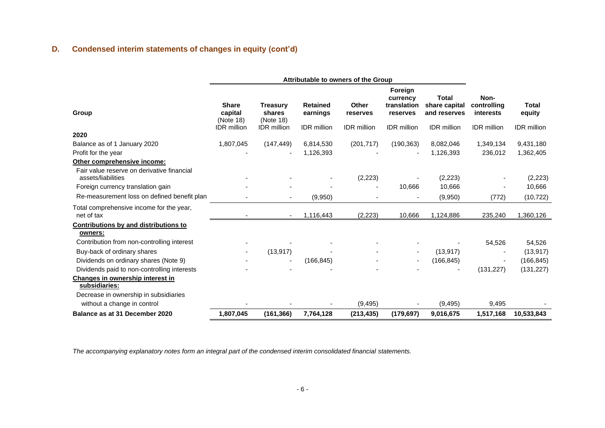# **D. Condensed interim statements of changes in equity (cont'd)**

|                                                                           | Attributable to owners of the Group  |                                        |                             |                    |                                                |                                        |                                  |                    |
|---------------------------------------------------------------------------|--------------------------------------|----------------------------------------|-----------------------------|--------------------|------------------------------------------------|----------------------------------------|----------------------------------|--------------------|
| Group                                                                     | <b>Share</b><br>capital<br>(Note 18) | <b>Treasury</b><br>shares<br>(Note 18) | <b>Retained</b><br>earnings | Other<br>reserves  | Foreign<br>currency<br>translation<br>reserves | Total<br>share capital<br>and reserves | Non-<br>controlling<br>interests | Total<br>equity    |
| 2020                                                                      | <b>IDR</b> million                   | <b>IDR</b> million                     | <b>IDR</b> million          | <b>IDR</b> million | <b>IDR</b> million                             | <b>IDR</b> million                     | <b>IDR</b> million               | <b>IDR</b> million |
| Balance as of 1 January 2020                                              | 1,807,045                            | (147, 449)                             | 6,814,530                   | (201, 717)         | (190, 363)                                     | 8,082,046                              | 1,349,134                        | 9,431,180          |
| Profit for the year                                                       |                                      |                                        | 1,126,393                   |                    |                                                | 1,126,393                              | 236,012                          | 1,362,405          |
| Other comprehensive income:<br>Fair value reserve on derivative financial |                                      |                                        |                             |                    |                                                |                                        |                                  |                    |
| assets/liabilities                                                        |                                      |                                        |                             | (2, 223)           |                                                | (2,223)                                |                                  | (2,223)            |
| Foreign currency translation gain                                         |                                      |                                        |                             |                    | 10,666                                         | 10,666                                 |                                  | 10,666             |
| Re-measurement loss on defined benefit plan                               |                                      | ٠                                      | (9,950)                     |                    |                                                | (9,950)                                | (772)                            | (10, 722)          |
| Total comprehensive income for the year,<br>net of tax                    |                                      | ٠                                      | 1,116,443                   | (2, 223)           | 10,666                                         | 1,124,886                              | 235,240                          | 1,360,126          |
| <b>Contributions by and distributions to</b><br>owners:                   |                                      |                                        |                             |                    |                                                |                                        |                                  |                    |
| Contribution from non-controlling interest                                |                                      |                                        |                             |                    |                                                |                                        | 54,526                           | 54,526             |
| Buy-back of ordinary shares                                               |                                      | (13, 917)                              |                             |                    |                                                | (13, 917)                              |                                  | (13, 917)          |
| Dividends on ordinary shares (Note 9)                                     |                                      |                                        | (166, 845)                  |                    |                                                | (166, 845)                             |                                  | (166, 845)         |
| Dividends paid to non-controlling interests                               |                                      |                                        |                             |                    |                                                |                                        | (131, 227)                       | (131, 227)         |
| Changes in ownership interest in<br>subsidiaries:                         |                                      |                                        |                             |                    |                                                |                                        |                                  |                    |
| Decrease in ownership in subsidiaries                                     |                                      |                                        |                             |                    |                                                |                                        |                                  |                    |
| without a change in control                                               |                                      |                                        |                             | (9, 495)           |                                                | (9, 495)                               | 9,495                            |                    |
| Balance as at 31 December 2020                                            | 1,807,045                            | (161, 366)                             | 7,764,128                   | (213, 435)         | (179, 697)                                     | 9,016,675                              | 1,517,168                        | 10,533,843         |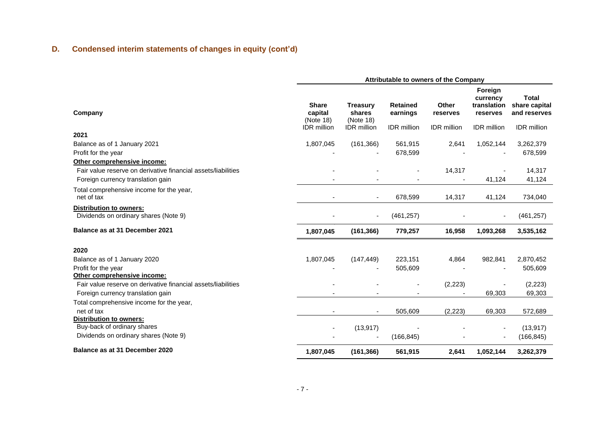# **D. Condensed interim statements of changes in equity (cont'd)**

|                                                                                                                                   | Attributable to owners of the Company                      |                                                       |                                                   |                                         |                                                                      |                                                                     |  |  |
|-----------------------------------------------------------------------------------------------------------------------------------|------------------------------------------------------------|-------------------------------------------------------|---------------------------------------------------|-----------------------------------------|----------------------------------------------------------------------|---------------------------------------------------------------------|--|--|
| Company                                                                                                                           | <b>Share</b><br>capital<br>(Note 18)<br><b>IDR</b> million | <b>Treasury</b><br>shares<br>(Note 18)<br>IDR million | <b>Retained</b><br>earnings<br><b>IDR</b> million | Other<br>reserves<br><b>IDR</b> million | Foreign<br>currency<br>translation<br>reserves<br><b>IDR</b> million | <b>Total</b><br>share capital<br>and reserves<br><b>IDR</b> million |  |  |
| 2021                                                                                                                              |                                                            |                                                       |                                                   |                                         |                                                                      |                                                                     |  |  |
| Balance as of 1 January 2021                                                                                                      | 1,807,045                                                  | (161, 366)                                            | 561,915                                           | 2,641                                   | 1,052,144                                                            | 3,262,379                                                           |  |  |
| Profit for the year                                                                                                               |                                                            |                                                       | 678,599                                           |                                         |                                                                      | 678,599                                                             |  |  |
| Other comprehensive income:                                                                                                       |                                                            |                                                       |                                                   |                                         |                                                                      |                                                                     |  |  |
| Fair value reserve on derivative financial assets/liabilities<br>Foreign currency translation gain                                |                                                            |                                                       |                                                   | 14,317                                  | 41,124                                                               | 14,317<br>41,124                                                    |  |  |
| Total comprehensive income for the year,<br>net of tax                                                                            |                                                            | $\blacksquare$                                        | 678,599                                           | 14,317                                  | 41,124                                                               | 734,040                                                             |  |  |
| Distribution to owners:<br>Dividends on ordinary shares (Note 9)                                                                  |                                                            | $\overline{\phantom{a}}$                              | (461, 257)                                        |                                         |                                                                      | (461, 257)                                                          |  |  |
| Balance as at 31 December 2021                                                                                                    | 1,807,045                                                  | (161, 366)                                            | 779,257                                           | 16,958                                  | 1,093,268                                                            | 3,535,162                                                           |  |  |
| 2020                                                                                                                              |                                                            |                                                       |                                                   |                                         |                                                                      |                                                                     |  |  |
| Balance as of 1 January 2020                                                                                                      | 1,807,045                                                  | (147, 449)                                            | 223,151                                           | 4,864                                   | 982,841                                                              | 2,870,452                                                           |  |  |
| Profit for the year                                                                                                               |                                                            |                                                       | 505,609                                           |                                         |                                                                      | 505,609                                                             |  |  |
| Other comprehensive income:<br>Fair value reserve on derivative financial assets/liabilities<br>Foreign currency translation gain |                                                            |                                                       |                                                   | (2, 223)                                | 69,303                                                               | (2,223)<br>69,303                                                   |  |  |
| Total comprehensive income for the year,                                                                                          |                                                            |                                                       |                                                   |                                         |                                                                      |                                                                     |  |  |
| net of tax                                                                                                                        |                                                            |                                                       | 505,609                                           | (2, 223)                                | 69,303                                                               | 572,689                                                             |  |  |
| <b>Distribution to owners:</b>                                                                                                    |                                                            |                                                       |                                                   |                                         |                                                                      |                                                                     |  |  |
| Buy-back of ordinary shares                                                                                                       |                                                            | (13, 917)                                             |                                                   |                                         |                                                                      | (13, 917)                                                           |  |  |
| Dividends on ordinary shares (Note 9)                                                                                             |                                                            |                                                       | (166, 845)                                        |                                         |                                                                      | (166, 845)                                                          |  |  |
| Balance as at 31 December 2020                                                                                                    | 1,807,045                                                  | (161, 366)                                            | 561,915                                           | 2,641                                   | 1,052,144                                                            | 3,262,379                                                           |  |  |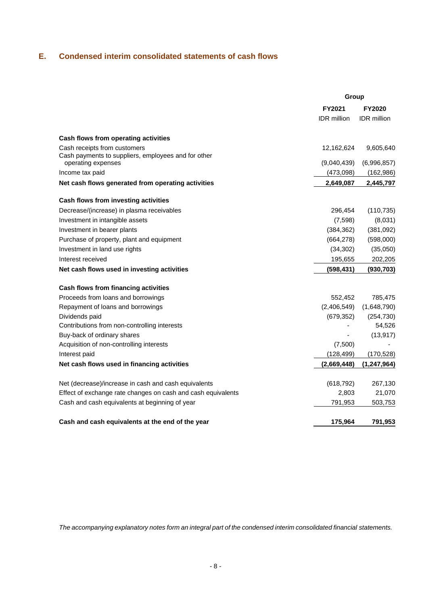# **E. Condensed interim consolidated statements of cash flows**

|                                                                           | Group       |               |
|---------------------------------------------------------------------------|-------------|---------------|
|                                                                           | FY2021      | <b>FY2020</b> |
|                                                                           | IDR million | IDR million   |
| Cash flows from operating activities                                      |             |               |
| Cash receipts from customers                                              | 12,162,624  | 9,605,640     |
| Cash payments to suppliers, employees and for other<br>operating expenses | (9,040,439) | (6,996,857)   |
| Income tax paid                                                           | (473,098)   | (162, 986)    |
|                                                                           |             |               |
| Net cash flows generated from operating activities                        | 2,649,087   | 2,445,797     |
| Cash flows from investing activities                                      |             |               |
| Decrease/(increase) in plasma receivables                                 | 296,454     | (110, 735)    |
| Investment in intangible assets                                           | (7,598)     | (8,031)       |
| Investment in bearer plants                                               | (384, 362)  | (381,092)     |
| Purchase of property, plant and equipment                                 | (664, 278)  | (598,000)     |
| Investment in land use rights                                             | (34, 302)   | (35,050)      |
| Interest received                                                         | 195,655     | 202,205       |
| Net cash flows used in investing activities                               | (598, 431)  | (930, 703)    |
| Cash flows from financing activities                                      |             |               |
| Proceeds from loans and borrowings                                        | 552,452     | 785,475       |
| Repayment of loans and borrowings                                         | (2,406,549) | (1,648,790)   |
| Dividends paid                                                            | (679, 352)  | (254, 730)    |
| Contributions from non-controlling interests                              |             | 54,526        |
| Buy-back of ordinary shares                                               |             | (13, 917)     |
| Acquisition of non-controlling interests                                  | (7,500)     |               |
| Interest paid                                                             | (128, 499)  | (170, 528)    |
| Net cash flows used in financing activities                               | (2,669,448) | (1, 247, 964) |
| Net (decrease)/increase in cash and cash equivalents                      | (618, 792)  | 267,130       |
| Effect of exchange rate changes on cash and cash equivalents              | 2,803       | 21,070        |
| Cash and cash equivalents at beginning of year                            | 791,953     | 503,753       |
| Cash and cash equivalents at the end of the year                          | 175,964     | 791,953       |
|                                                                           |             |               |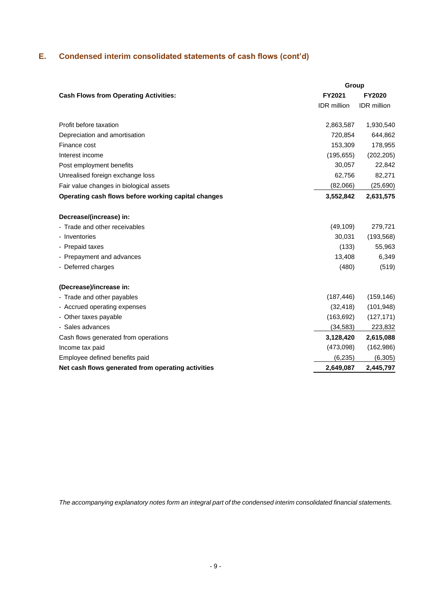# **E. Condensed interim consolidated statements of cash flows (cont'd)**

|                                                     | Group              |                    |  |  |  |
|-----------------------------------------------------|--------------------|--------------------|--|--|--|
| <b>Cash Flows from Operating Activities:</b>        | FY2021             | FY2020             |  |  |  |
|                                                     | <b>IDR</b> million | <b>IDR</b> million |  |  |  |
| Profit before taxation                              | 2,863,587          | 1,930,540          |  |  |  |
| Depreciation and amortisation                       | 720,854            | 644,862            |  |  |  |
| Finance cost                                        | 153,309            | 178,955            |  |  |  |
| Interest income                                     | (195, 655)         | (202, 205)         |  |  |  |
| Post employment benefits                            | 30,057             | 22,842             |  |  |  |
| Unrealised foreign exchange loss                    | 62,756             | 82,271             |  |  |  |
| Fair value changes in biological assets             | (82,066)           | (25, 690)          |  |  |  |
| Operating cash flows before working capital changes | 3,552,842          | 2,631,575          |  |  |  |
| Decrease/(increase) in:                             |                    |                    |  |  |  |
| - Trade and other receivables                       | (49, 109)          | 279,721            |  |  |  |
| - Inventories                                       | 30,031             | (193, 568)         |  |  |  |
| - Prepaid taxes                                     | (133)              | 55,963             |  |  |  |
| - Prepayment and advances                           | 13,408             | 6,349              |  |  |  |
| - Deferred charges                                  | (480)              | (519)              |  |  |  |
| (Decrease)/increase in:                             |                    |                    |  |  |  |
| - Trade and other payables                          | (187, 446)         | (159, 146)         |  |  |  |
| - Accrued operating expenses                        | (32, 418)          | (101, 948)         |  |  |  |
| - Other taxes payable                               | (163, 692)         | (127, 171)         |  |  |  |
| - Sales advances                                    | (34, 583)          | 223,832            |  |  |  |
| Cash flows generated from operations                | 3,128,420          | 2,615,088          |  |  |  |
| Income tax paid                                     | (473,098)          | (162, 986)         |  |  |  |
| Employee defined benefits paid                      | (6, 235)           | (6, 305)           |  |  |  |
| Net cash flows generated from operating activities  | 2,649,087          | 2,445,797          |  |  |  |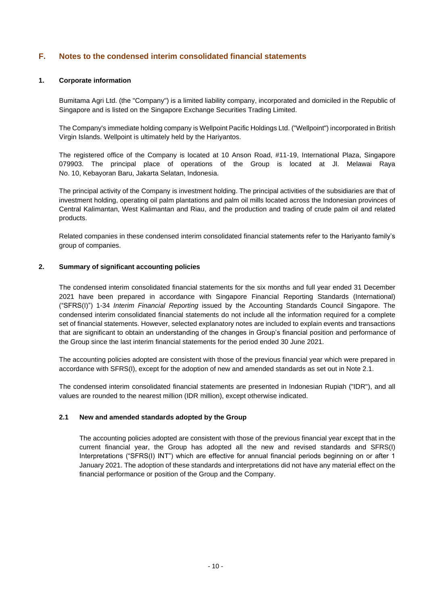# **F. Notes to the condensed interim consolidated financial statements**

#### **1. Corporate information**

Bumitama Agri Ltd. (the "Company") is a limited liability company, incorporated and domiciled in the Republic of Singapore and is listed on the Singapore Exchange Securities Trading Limited.

The Company's immediate holding company is Wellpoint Pacific Holdings Ltd. ("Wellpoint") incorporated in British Virgin Islands. Wellpoint is ultimately held by the Hariyantos.

The registered office of the Company is located at 10 Anson Road, #11-19, International Plaza, Singapore 079903. The principal place of operations of the Group is located at Jl. Melawai Raya No. 10, Kebayoran Baru, Jakarta Selatan, Indonesia.

The principal activity of the Company is investment holding. The principal activities of the subsidiaries are that of investment holding, operating oil palm plantations and palm oil mills located across the Indonesian provinces of Central Kalimantan, West Kalimantan and Riau, and the production and trading of crude palm oil and related products.

Related companies in these condensed interim consolidated financial statements refer to the Hariyanto family's group of companies.

#### **2. Summary of significant accounting policies**

The condensed interim consolidated financial statements for the six months and full year ended 31 December 2021 have been prepared in accordance with Singapore Financial Reporting Standards (International) ("SFRS(I)") 1-34 *Interim Financial Reporting* issued by the Accounting Standards Council Singapore. The condensed interim consolidated financial statements do not include all the information required for a complete set of financial statements. However, selected explanatory notes are included to explain events and transactions that are significant to obtain an understanding of the changes in Group's financial position and performance of the Group since the last interim financial statements for the period ended 30 June 2021.

The accounting policies adopted are consistent with those of the previous financial year which were prepared in accordance with SFRS(I), except for the adoption of new and amended standards as set out in Note 2.1.

The condensed interim consolidated financial statements are presented in Indonesian Rupiah ("IDR"), and all values are rounded to the nearest million (IDR million), except otherwise indicated.

#### **2.1 New and amended standards adopted by the Group**

The accounting policies adopted are consistent with those of the previous financial year except that in the current financial year, the Group has adopted all the new and revised standards and SFRS(I) Interpretations ("SFRS(I) INT") which are effective for annual financial periods beginning on or after 1 January 2021. The adoption of these standards and interpretations did not have any material effect on the financial performance or position of the Group and the Company.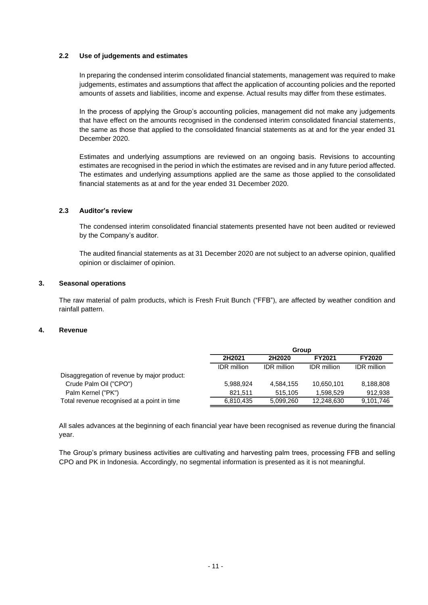#### **2.2 Use of judgements and estimates**

In preparing the condensed interim consolidated financial statements, management was required to make judgements, estimates and assumptions that affect the application of accounting policies and the reported amounts of assets and liabilities, income and expense. Actual results may differ from these estimates.

In the process of applying the Group's accounting policies, management did not make any judgements that have effect on the amounts recognised in the condensed interim consolidated financial statements, the same as those that applied to the consolidated financial statements as at and for the year ended 31 December 2020.

Estimates and underlying assumptions are reviewed on an ongoing basis. Revisions to accounting estimates are recognised in the period in which the estimates are revised and in any future period affected. The estimates and underlying assumptions applied are the same as those applied to the consolidated financial statements as at and for the year ended 31 December 2020.

# **2.3 Auditor's review**

The condensed interim consolidated financial statements presented have not been audited or reviewed by the Company's auditor.

The audited financial statements as at 31 December 2020 are not subject to an adverse opinion, qualified opinion or disclaimer of opinion.

# **3. Seasonal operations**

The raw material of palm products, which is Fresh Fruit Bunch ("FFB"), are affected by weather condition and rainfall pattern.

#### **4. Revenue**

|                                             |                    | Group              |                    |                    |  |  |  |  |
|---------------------------------------------|--------------------|--------------------|--------------------|--------------------|--|--|--|--|
|                                             | 2H2021             | 2H2020             | <b>FY2021</b>      | FY2020             |  |  |  |  |
|                                             | <b>IDR</b> million | <b>IDR</b> million | <b>IDR</b> million | <b>IDR</b> million |  |  |  |  |
| Disaggregation of revenue by major product: |                    |                    |                    |                    |  |  |  |  |
| Crude Palm Oil ("CPO")                      | 5,988,924          | 4,584,155          | 10,650,101         | 8,188,808          |  |  |  |  |
| Palm Kernel ("PK")                          | 821.511            | 515.105            | 1.598.529          | 912,938            |  |  |  |  |
| Total revenue recognised at a point in time | 6,810,435          | 5,099,260          | 12,248,630         | 9,101,746          |  |  |  |  |

All sales advances at the beginning of each financial year have been recognised as revenue during the financial year.

The Group's primary business activities are cultivating and harvesting palm trees, processing FFB and selling CPO and PK in Indonesia. Accordingly, no segmental information is presented as it is not meaningful.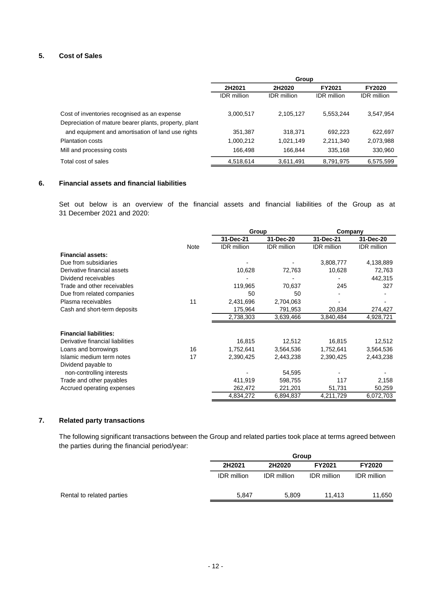# **5. Cost of Sales**

|                                                       | Group              |                    |                    |                    |  |  |
|-------------------------------------------------------|--------------------|--------------------|--------------------|--------------------|--|--|
|                                                       | 2H2021             | 2H2020             | <b>FY2021</b>      | <b>FY2020</b>      |  |  |
|                                                       | <b>IDR</b> million | <b>IDR</b> million | <b>IDR</b> million | <b>IDR</b> million |  |  |
| Cost of inventories recognised as an expense          | 3,000,517          | 2,105,127          | 5,553,244          | 3,547,954          |  |  |
| Depreciation of mature bearer plants, property, plant |                    |                    |                    |                    |  |  |
| and equipment and amortisation of land use rights     | 351,387            | 318,371            | 692.223            | 622,697            |  |  |
| <b>Plantation costs</b>                               | 1,000,212          | 1,021,149          | 2,211,340          | 2,073,988          |  |  |
| Mill and processing costs                             | 166.498            | 166.844            | 335,168            | 330,960            |  |  |
| Total cost of sales                                   | 4,518,614          | 3,611,491          | 8,791,975          | 6,575,599          |  |  |

#### **6. Financial assets and financial liabilities**

Set out below is an overview of the financial assets and financial liabilities of the Group as at 31 December 2021 and 2020:

|                                  |      | Group              |                    | Company            |                    |
|----------------------------------|------|--------------------|--------------------|--------------------|--------------------|
|                                  |      | 31-Dec-21          | 31-Dec-20          | 31-Dec-21          | 31-Dec-20          |
|                                  | Note | <b>IDR</b> million | <b>IDR</b> million | <b>IDR</b> million | <b>IDR</b> million |
| <b>Financial assets:</b>         |      |                    |                    |                    |                    |
| Due from subsidiaries            |      |                    |                    | 3,808,777          | 4,138,889          |
| Derivative financial assets      |      | 10,628             | 72,763             | 10,628             | 72,763             |
| Dividend receivables             |      |                    |                    |                    | 442,315            |
| Trade and other receivables      |      | 119,965            | 70,637             | 245                | 327                |
| Due from related companies       |      | 50                 | 50                 |                    |                    |
| Plasma receivables               | 11   | 2,431,696          | 2,704,063          |                    |                    |
| Cash and short-term deposits     |      | 175,964            | 791,953            | 20,834             | 274,427            |
|                                  |      | 2,738,303          | 3,639,466          | 3,840,484          | 4,928,721          |
| <b>Financial liabilities:</b>    |      |                    |                    |                    |                    |
| Derivative financial liabilities |      | 16,815             | 12,512             | 16,815             | 12,512             |
| Loans and borrowings             | 16   | 1,752,641          | 3,564,536          | 1,752,641          | 3,564,536          |
| Islamic medium term notes        | 17   | 2,390,425          | 2,443,238          | 2,390,425          | 2,443,238          |
| Dividend payable to              |      |                    |                    |                    |                    |
| non-controlling interests        |      |                    | 54,595             |                    |                    |
| Trade and other payables         |      | 411,919            | 598,755            | 117                | 2,158              |
| Accrued operating expenses       |      | 262,472            | 221,201            | 51,731             | 50,259             |
|                                  |      | 4,834,272          | 6,894,837          | 4,211,729          | 6,072,703          |

# **7. Related party transactions**

The following significant transactions between the Group and related parties took place at terms agreed between the parties during the financial period/year:

|                           |                    | Group              |                    |                    |  |
|---------------------------|--------------------|--------------------|--------------------|--------------------|--|
|                           | 2H2021             | 2H2020             | FY2021             | <b>FY2020</b>      |  |
|                           | <b>IDR</b> million | <b>IDR</b> million | <b>IDR</b> million | <b>IDR</b> million |  |
| Rental to related parties | 5,847              | 5,809              | 11.413             | 11,650             |  |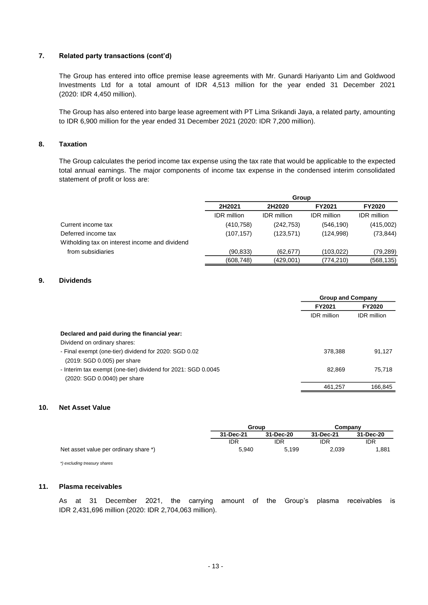# **7. Related party transactions (cont'd)**

The Group has entered into office premise lease agreements with Mr. Gunardi Hariyanto Lim and Goldwood Investments Ltd for a total amount of IDR 4,513 million for the year ended 31 December 2021 (2020: IDR 4,450 million).

The Group has also entered into barge lease agreement with PT Lima Srikandi Jaya, a related party, amounting to IDR 6,900 million for the year ended 31 December 2021 (2020: IDR 7,200 million).

# **8. Taxation**

The Group calculates the period income tax expense using the tax rate that would be applicable to the expected total annual earnings. The major components of income tax expense in the condensed interim consolidated statement of profit or loss are:

|                                                | Group              |                    |                    |                    |
|------------------------------------------------|--------------------|--------------------|--------------------|--------------------|
|                                                | 2H2021             | 2H2020             | FY2021             | <b>FY2020</b>      |
|                                                | <b>IDR</b> million | <b>IDR</b> million | <b>IDR</b> million | <b>IDR</b> million |
| Current income tax                             | (410, 758)         | (242, 753)         | (546, 190)         | (415,002)          |
| Deferred income tax                            | (107, 157)         | (123, 571)         | (124, 998)         | (73, 844)          |
| Witholding tax on interest income and dividend |                    |                    |                    |                    |
| from subsidiaries                              | (90, 833)          | (62.677)           | (103,022)          | (79,289)           |
|                                                | (608, 748)         | (429,001)          | (774,210)          | (568, 135)         |

# **9. Dividends**

|                                                               | <b>Group and Company</b> |                    |
|---------------------------------------------------------------|--------------------------|--------------------|
|                                                               | FY2021                   | <b>FY2020</b>      |
|                                                               | <b>IDR</b> million       | <b>IDR</b> million |
| Declared and paid during the financial year:                  |                          |                    |
| Dividend on ordinary shares:                                  |                          |                    |
| - Final exempt (one-tier) dividend for 2020: SGD 0.02         | 378.388                  | 91.127             |
| (2019: SGD 0.005) per share                                   |                          |                    |
| - Interim tax exempt (one-tier) dividend for 2021: SGD 0.0045 | 82.869                   | 75.718             |
| (2020: SGD 0.0040) per share                                  |                          |                    |
|                                                               | 461.257                  | 166.845            |

#### **10. Net Asset Value**

|                                       | Group      |           | Company   |            |
|---------------------------------------|------------|-----------|-----------|------------|
|                                       | 31-Dec-21  | 31-Dec-20 | 31-Dec-21 | 31-Dec-20  |
|                                       | <b>IDR</b> | idr       | idr       | <b>IDR</b> |
| Net asset value per ordinary share *) | 5.940      | 5.199     | 2.039     | 1,881      |

*\*) excluding treasury shares*

### **11. Plasma receivables**

As at 31 December 2021, the carrying amount of the Group's plasma receivables is IDR 2,431,696 million (2020: IDR 2,704,063 million).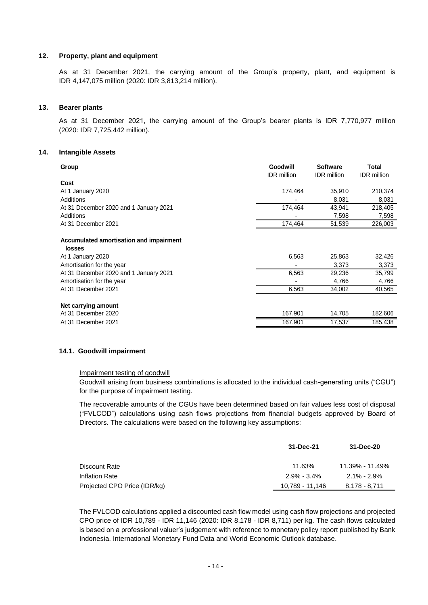#### **12. Property, plant and equipment**

As at 31 December 2021, the carrying amount of the Group's property, plant, and equipment is IDR 4,147,075 million (2020: IDR 3,813,214 million).

#### **13. Bearer plants**

As at 31 December 2021, the carrying amount of the Group's bearer plants is IDR 7,770,977 million (2020: IDR 7,725,442 million).

#### **14. Intangible Assets**

| Group                                  | Goodwill<br><b>IDR</b> million | <b>Software</b><br><b>IDR</b> million | Total<br><b>IDR</b> million |
|----------------------------------------|--------------------------------|---------------------------------------|-----------------------------|
| Cost                                   |                                |                                       |                             |
| At 1 January 2020                      | 174.464                        | 35,910                                | 210,374                     |
| Additions                              | ٠                              | 8.031                                 | 8,031                       |
| At 31 December 2020 and 1 January 2021 | 174.464                        | 43.941                                | 218,405                     |
| Additions                              | -                              | 7.598                                 | 7,598                       |
| At 31 December 2021                    | 174.464                        | 51,539                                | 226,003                     |
|                                        |                                |                                       |                             |

# **Accumulated amortisation and impairment**

| losses                                 |         |        |         |
|----------------------------------------|---------|--------|---------|
| At 1 January 2020                      | 6,563   | 25.863 | 32,426  |
| Amortisation for the year              | ٠       | 3.373  | 3,373   |
| At 31 December 2020 and 1 January 2021 | 6.563   | 29.236 | 35.799  |
| Amortisation for the year              | ٠       | 4.766  | 4,766   |
| At 31 December 2021                    | 6,563   | 34,002 | 40,565  |
| Net carrying amount                    |         |        |         |
| At 31 December 2020                    | 167.901 | 14.705 | 182,606 |
| At 31 December 2021                    | 167.901 | 17.537 | 185.438 |

#### **14.1. Goodwill impairment**

#### Impairment testing of goodwill

Goodwill arising from business combinations is allocated to the individual cash-generating units ("CGU") for the purpose of impairment testing.

The recoverable amounts of the CGUs have been determined based on fair values less cost of disposal ("FVLCOD") calculations using cash flows projections from financial budgets approved by Board of Directors. The calculations were based on the following key assumptions:

|                              | 31-Dec-21       | 31-Dec-20       |
|------------------------------|-----------------|-----------------|
| Discount Rate                | 11.63%          | 11.39% - 11.49% |
| Inflation Rate               | $2.9\% - 3.4\%$ | $2.1\% - 2.9\%$ |
| Projected CPO Price (IDR/kg) | 10,789 - 11,146 | 8,178 - 8,711   |

The FVLCOD calculations applied a discounted cash flow model using cash flow projections and projected CPO price of IDR 10,789 - IDR 11,146 (2020: IDR 8,178 - IDR 8,711) per kg. The cash flows calculated is based on a professional valuer's judgement with reference to monetary policy report published by Bank Indonesia, International Monetary Fund Data and World Economic Outlook database.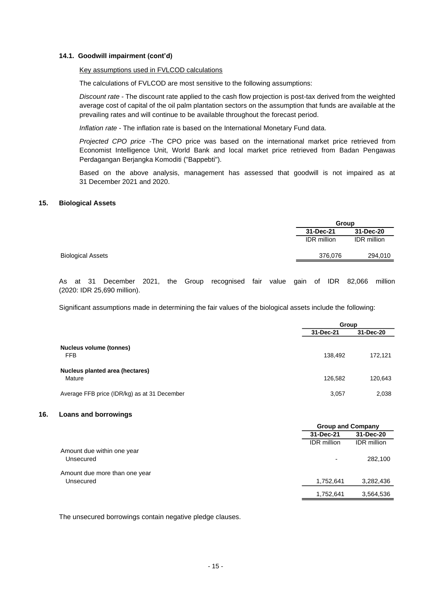#### **14.1. Goodwill impairment (cont'd)**

#### Key assumptions used in FVLCOD calculations

The calculations of FVLCOD are most sensitive to the following assumptions:

*Discount rate* - The discount rate applied to the cash flow projection is post-tax derived from the weighted average cost of capital of the oil palm plantation sectors on the assumption that funds are available at the prevailing rates and will continue to be available throughout the forecast period.

*Inflation rate* - The inflation rate is based on the International Monetary Fund data.

*Projected CPO price* -The CPO price was based on the international market price retrieved from Economist Intelligence Unit, World Bank and local market price retrieved from Badan Pengawas Perdagangan Berjangka Komoditi ("Bappebti").

Based on the above analysis, management has assessed that goodwill is not impaired as at 31 December 2021 and 2020.

#### **15. Biological Assets**

|                    | Group              |  |  |
|--------------------|--------------------|--|--|
| 31-Dec-21          | 31-Dec-20          |  |  |
| <b>IDR</b> million | <b>IDR</b> million |  |  |
| 376,076            | 294,010            |  |  |
|                    |                    |  |  |

As at 31 December 2021, the Group recognised fair value gain of IDR 82,066 million (2020: IDR 25,690 million).

Significant assumptions made in determining the fair values of the biological assets include the following:

|                                              | Group     |           |
|----------------------------------------------|-----------|-----------|
|                                              | 31-Dec-21 | 31-Dec-20 |
| <b>Nucleus volume (tonnes)</b><br><b>FFB</b> | 138,492   | 172,121   |
| Nucleus planted area (hectares)<br>Mature    | 126.582   | 120,643   |
| Average FFB price (IDR/kg) as at 31 December | 3,057     | 2,038     |

#### **16. Loans and borrowings**

|                               | <b>Group and Company</b> |                    |
|-------------------------------|--------------------------|--------------------|
|                               | 31-Dec-21                | 31-Dec-20          |
|                               | <b>IDR</b> million       | <b>IDR</b> million |
| Amount due within one year    |                          |                    |
| Unsecured                     | $\overline{\phantom{0}}$ | 282,100            |
| Amount due more than one year |                          |                    |
| Unsecured                     | 1,752,641                | 3,282,436          |
|                               | 1,752,641                | 3,564,536          |
|                               |                          |                    |

The unsecured borrowings contain negative pledge clauses.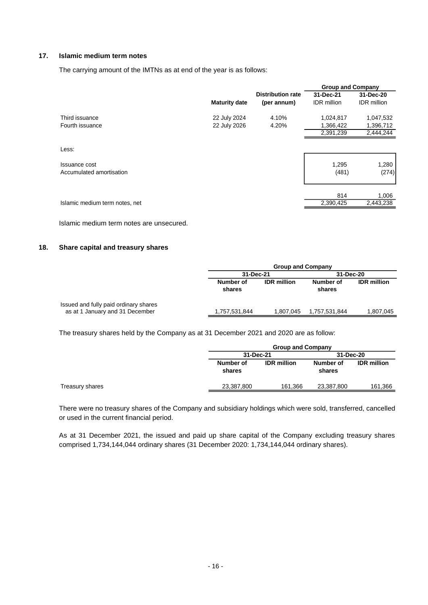# **17. Islamic medium term notes**

The carrying amount of the IMTNs as at end of the year is as follows:

|                      |                          |                    |                    | <b>Group and Company</b> |  |
|----------------------|--------------------------|--------------------|--------------------|--------------------------|--|
|                      | <b>Distribution rate</b> | 31-Dec-21          | 31-Dec-20          |                          |  |
| <b>Maturity date</b> | (per annum)              | <b>IDR</b> million | <b>IDR</b> million |                          |  |
| 22 July 2024         | 4.10%                    | 1,024,817          | 1,047,532          |                          |  |
| 22 July 2026         | 4.20%                    | 1,366,422          | 1,396,712          |                          |  |
|                      |                          | 2,391,239          | 2,444,244          |                          |  |
|                      |                          |                    |                    |                          |  |
|                      |                          | 1,295              | 1,280              |                          |  |
|                      |                          | (481)              | (274)              |                          |  |
|                      |                          | 814                | 1,006              |                          |  |
|                      |                          | 2,390,425          | 2,443,238          |                          |  |
|                      |                          |                    |                    |                          |  |

Islamic medium term notes are unsecured.

#### **18. Share capital and treasury shares**

|                                                                          |                     | <b>Group and Company</b> |                     |                    |  |  |  |
|--------------------------------------------------------------------------|---------------------|--------------------------|---------------------|--------------------|--|--|--|
|                                                                          | 31-Dec-21           |                          | 31-Dec-20           |                    |  |  |  |
|                                                                          | Number of<br>shares | <b>IDR</b> million       | Number of<br>shares | <b>IDR</b> million |  |  |  |
| Issued and fully paid ordinary shares<br>as at 1 January and 31 December | 1,757,531,844       | 1,807,045                | 1,757,531,844       | 1,807,045          |  |  |  |

The treasury shares held by the Company as at 31 December 2021 and 2020 are as follow:

|                 | <b>Group and Company</b> |                    |                     |                    |  |
|-----------------|--------------------------|--------------------|---------------------|--------------------|--|
|                 | 31-Dec-21                |                    | 31-Dec-20           |                    |  |
|                 | Number of<br>shares      | <b>IDR</b> million | Number of<br>shares | <b>IDR</b> million |  |
| Treasury shares | 23,387,800               | 161.366            | 23,387,800          | 161,366            |  |

There were no treasury shares of the Company and subsidiary holdings which were sold, transferred, cancelled or used in the current financial period.

As at 31 December 2021, the issued and paid up share capital of the Company excluding treasury shares comprised 1,734,144,044 ordinary shares (31 December 2020: 1,734,144,044 ordinary shares).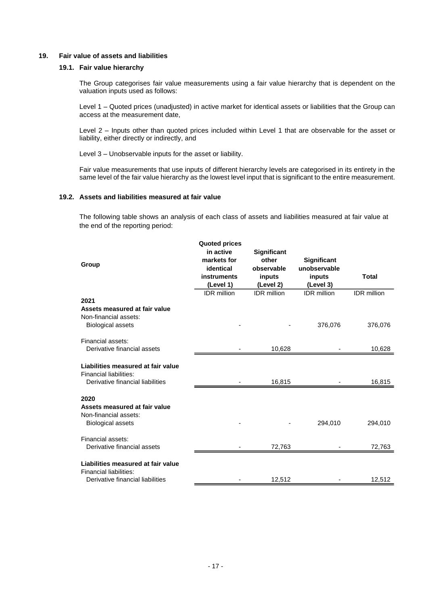#### **19. Fair value of assets and liabilities**

# **19.1. Fair value hierarchy**

The Group categorises fair value measurements using a fair value hierarchy that is dependent on the valuation inputs used as follows:

Level 1 – Quoted prices (unadjusted) in active market for identical assets or liabilities that the Group can access at the measurement date,

Level 2 – Inputs other than quoted prices included within Level 1 that are observable for the asset or liability, either directly or indirectly, and

Level 3 – Unobservable inputs for the asset or liability.

Fair value measurements that use inputs of different hierarchy levels are categorised in its entirety in the same level of the fair value hierarchy as the lowest level input that is significant to the entire measurement.

#### **19.2. Assets and liabilities measured at fair value**

The following table shows an analysis of each class of assets and liabilities measured at fair value at the end of the reporting period:

|                                                            | <b>Quoted prices</b><br>in active |                             |                    |                    |
|------------------------------------------------------------|-----------------------------------|-----------------------------|--------------------|--------------------|
|                                                            | markets for                       | <b>Significant</b><br>other | Significant        |                    |
| Group                                                      | identical                         | observable                  | unobservable       |                    |
|                                                            | <b>instruments</b>                | inputs                      | inputs             | <b>Total</b>       |
|                                                            | (Level 1)                         | (Level 2)                   | (Level 3)          |                    |
|                                                            | <b>IDR</b> million                | <b>IDR</b> million          | <b>IDR</b> million | <b>IDR</b> million |
| 2021<br>Assets measured at fair value                      |                                   |                             |                    |                    |
| Non-financial assets:                                      |                                   |                             |                    |                    |
| <b>Biological assets</b>                                   |                                   |                             | 376,076            | 376,076            |
|                                                            |                                   |                             |                    |                    |
| Financial assets:                                          |                                   |                             |                    |                    |
| Derivative financial assets                                |                                   | 10,628                      |                    | 10,628             |
| Liabilities measured at fair value                         |                                   |                             |                    |                    |
| Financial liabilities:                                     |                                   |                             |                    |                    |
| Derivative financial liabilities                           |                                   | 16,815                      |                    | 16,815             |
|                                                            |                                   |                             |                    |                    |
| 2020                                                       |                                   |                             |                    |                    |
| Assets measured at fair value                              |                                   |                             |                    |                    |
| Non-financial assets:                                      |                                   |                             |                    |                    |
| <b>Biological assets</b>                                   |                                   |                             | 294,010            | 294,010            |
| Financial assets:                                          |                                   |                             |                    |                    |
| Derivative financial assets                                |                                   | 72,763                      |                    | 72,763             |
|                                                            |                                   |                             |                    |                    |
| Liabilities measured at fair value                         |                                   |                             |                    |                    |
| Financial liabilities:<br>Derivative financial liabilities |                                   |                             |                    |                    |
|                                                            |                                   | 12,512                      |                    | 12,512             |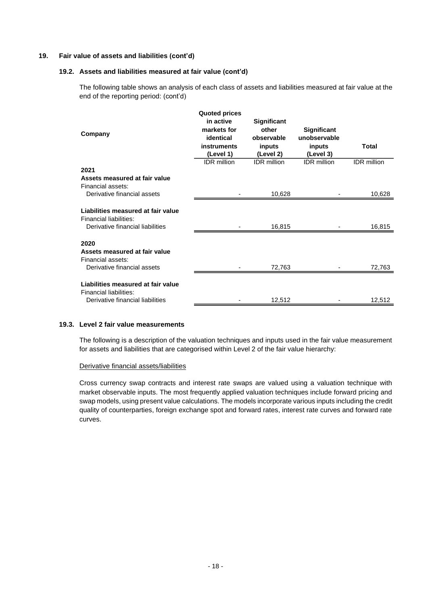#### **19. Fair value of assets and liabilities (cont'd)**

#### **19.2. Assets and liabilities measured at fair value (cont'd)**

The following table shows an analysis of each class of assets and liabilities measured at fair value at the end of the reporting period: (cont'd)

| Company                                                                                          | <b>Quoted prices</b><br>in active<br>markets for<br>identical<br>instruments<br>(Level 1) | Significant<br>other<br>observable<br>inputs<br>(Level 2) | <b>Significant</b><br>unobservable<br>inputs<br>(Level 3) | Total              |
|--------------------------------------------------------------------------------------------------|-------------------------------------------------------------------------------------------|-----------------------------------------------------------|-----------------------------------------------------------|--------------------|
|                                                                                                  | <b>IDR</b> million                                                                        | <b>IDR</b> million                                        | <b>IDR</b> million                                        | <b>IDR</b> million |
| 2021                                                                                             |                                                                                           |                                                           |                                                           |                    |
| Assets measured at fair value<br>Financial assets:                                               |                                                                                           |                                                           |                                                           |                    |
| Derivative financial assets                                                                      |                                                                                           | 10,628                                                    |                                                           | 10,628             |
| Liabilities measured at fair value<br>Financial liabilities:<br>Derivative financial liabilities |                                                                                           | 16,815                                                    |                                                           | 16,815             |
| 2020<br>Assets measured at fair value<br>Financial assets:<br>Derivative financial assets        |                                                                                           | 72,763                                                    |                                                           | 72,763             |
|                                                                                                  |                                                                                           |                                                           |                                                           |                    |
| Liabilities measured at fair value<br>Financial liabilities:                                     |                                                                                           |                                                           |                                                           |                    |
| Derivative financial liabilities                                                                 |                                                                                           | 12,512                                                    |                                                           | 12,512             |

#### **19.3. Level 2 fair value measurements**

The following is a description of the valuation techniques and inputs used in the fair value measurement for assets and liabilities that are categorised within Level 2 of the fair value hierarchy:

#### Derivative financial assets/liabilities

Cross currency swap contracts and interest rate swaps are valued using a valuation technique with market observable inputs. The most frequently applied valuation techniques include forward pricing and swap models, using present value calculations. The models incorporate various inputs including the credit quality of counterparties, foreign exchange spot and forward rates, interest rate curves and forward rate curves.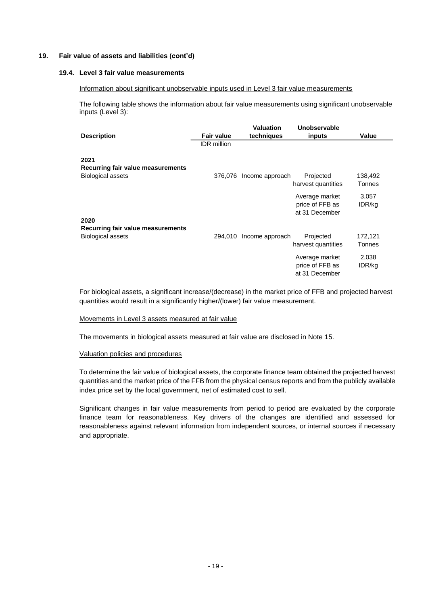#### **19. Fair value of assets and liabilities (cont'd)**

#### **19.4. Level 3 fair value measurements**

#### Information about significant unobservable inputs used in Level 3 fair value measurements

The following table shows the information about fair value measurements using significant unobservable inputs (Level 3):

|                                                                       |                    | <b>Valuation</b> | Unobservable                                        |                          |
|-----------------------------------------------------------------------|--------------------|------------------|-----------------------------------------------------|--------------------------|
| <b>Description</b>                                                    | <b>Fair value</b>  | techniques       | inputs                                              | Value                    |
|                                                                       | <b>IDR</b> million |                  |                                                     |                          |
| 2021<br>Recurring fair value measurements<br><b>Biological assets</b> | 376,076            | Income approach  | Projected<br>harvest quantities                     | 138,492<br>Tonnes        |
|                                                                       |                    |                  | Average market<br>price of FFB as<br>at 31 December | 3,057<br>IDR/kg          |
| 2020                                                                  |                    |                  |                                                     |                          |
| Recurring fair value measurements                                     |                    |                  |                                                     |                          |
| <b>Biological assets</b>                                              | 294,010            | Income approach  | Projected<br>harvest quantities                     | 172,121<br><b>Tonnes</b> |
|                                                                       |                    |                  | Average market<br>price of FFB as<br>at 31 December | 2,038<br>IDR/kg          |

For biological assets, a significant increase/(decrease) in the market price of FFB and projected harvest quantities would result in a significantly higher/(lower) fair value measurement.

#### Movements in Level 3 assets measured at fair value

The movements in biological assets measured at fair value are disclosed in Note 15.

#### Valuation policies and procedures

To determine the fair value of biological assets, the corporate finance team obtained the projected harvest quantities and the market price of the FFB from the physical census reports and from the publicly available index price set by the local government, net of estimated cost to sell.

Significant changes in fair value measurements from period to period are evaluated by the corporate finance team for reasonableness. Key drivers of the changes are identified and assessed for reasonableness against relevant information from independent sources, or internal sources if necessary and appropriate.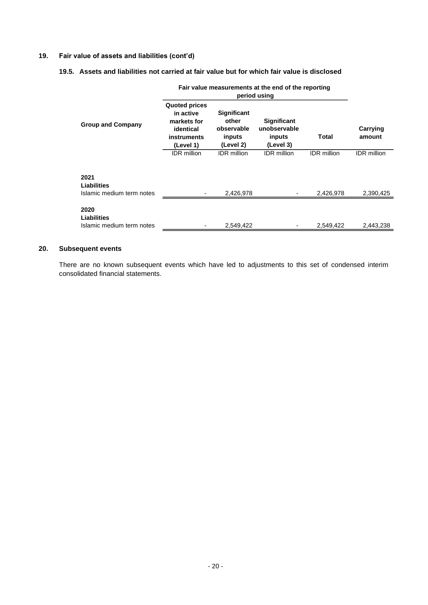# **19. Fair value of assets and liabilities (cont'd)**

### **19.5. Assets and liabilities not carried at fair value but for which fair value is disclosed**

|                                                  | Fair value measurements at the end of the reporting<br>period using                       |                                                                  |                                                    |                    |                    |  |  |
|--------------------------------------------------|-------------------------------------------------------------------------------------------|------------------------------------------------------------------|----------------------------------------------------|--------------------|--------------------|--|--|
| <b>Group and Company</b>                         | <b>Quoted prices</b><br>in active<br>markets for<br>identical<br>instruments<br>(Level 1) | <b>Significant</b><br>other<br>observable<br>inputs<br>(Level 2) | Significant<br>unobservable<br>inputs<br>(Level 3) | Total              | Carrying<br>amount |  |  |
|                                                  | <b>IDR</b> million                                                                        | <b>IDR</b> million                                               | <b>IDR</b> million                                 | <b>IDR</b> million | <b>IDR</b> million |  |  |
| 2021<br>Liabilities<br>Islamic medium term notes |                                                                                           | 2,426,978                                                        |                                                    | 2,426,978          | 2,390,425          |  |  |
| 2020<br>Liabilities<br>Islamic medium term notes |                                                                                           | 2,549,422                                                        |                                                    | 2,549,422          | 2,443,238          |  |  |

# **20. Subsequent events**

There are no known subsequent events which have led to adjustments to this set of condensed interim consolidated financial statements.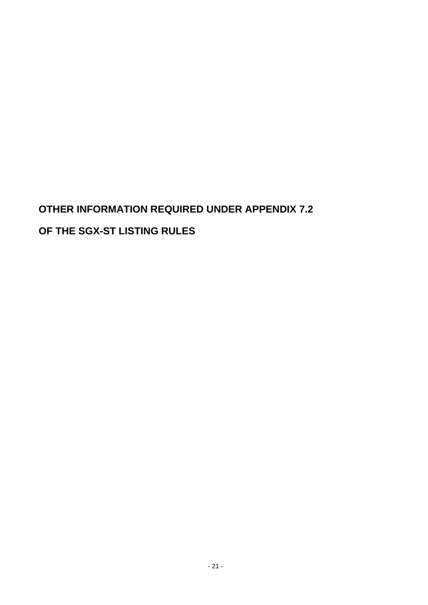# **OTHER INFORMATION REQUIRED UNDER APPENDIX 7.2 OF THE SGX-ST LISTING RULES**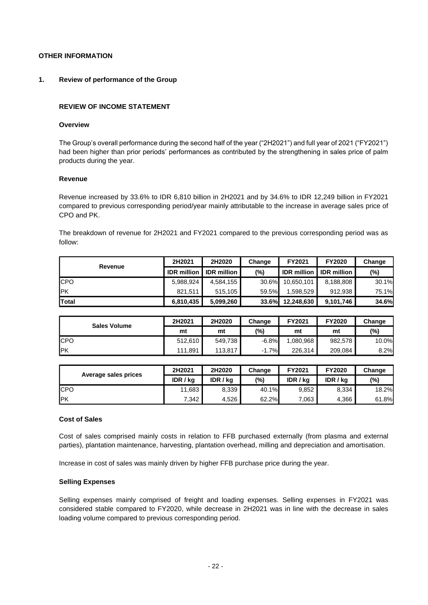# **OTHER INFORMATION**

#### **1. Review of performance of the Group**

#### **REVIEW OF INCOME STATEMENT**

#### **Overview**

The Group's overall performance during the second half of the year ("2H2021") and full year of 2021 ("FY2021") had been higher than prior periods' performances as contributed by the strengthening in sales price of palm products during the year.

#### **Revenue**

Revenue increased by 33.6% to IDR 6,810 billion in 2H2021 and by 34.6% to IDR 12,249 billion in FY2021 compared to previous corresponding period/year mainly attributable to the increase in average sales price of CPO and PK.

The breakdown of revenue for 2H2021 and FY2021 compared to the previous corresponding period was as follow:

| Revenue      | 2H2021             | 2H2020             | Change   | FY2021     | <b>FY2020</b>                    | Change |
|--------------|--------------------|--------------------|----------|------------|----------------------------------|--------|
|              | <b>IDR</b> million | <b>IDR</b> million | (%)      |            | <b>IDR million I IDR million</b> | (%)    |
| <b>ICPO</b>  | 5.988.924          | 4,584,155          | 30.6%    | 10.650.101 | 8,188,808                        | 30.1%  |
| IPK          | 821.511            | 515.105            | 59.5%    | 1.598.529  | 912.938                          | 75.1%  |
| <b>Total</b> | 6,810,435          | 5,099,260          | $33.6\%$ | 12.248.630 | 9,101,746                        | 34.6%  |

| <b>Sales Volume</b> | 2H2021  | 2H2020  | Change  | FY2021    | <b>FY2020</b> | Change |
|---------------------|---------|---------|---------|-----------|---------------|--------|
|                     | mt      | mt      | (%)     | mt        | mt            | (%)    |
| <b>CPO</b>          | 512.610 | 549,738 | $-6.8%$ | 1,080,968 | 982,578       | 10.0%  |
| IPK                 | 111.891 | 113.817 | $-1.7%$ | 226.314   | 209,084       | 8.2%   |

| Average sales prices | 2H2021   | 2H2020   | Change | FY2021   | <b>FY2020</b> | Change |
|----------------------|----------|----------|--------|----------|---------------|--------|
|                      | IDR / ka | IDR / ka | (%)    | IDR / ka | IDR / ka      | (%)    |
| <b>ICPO</b>          | 11,683   | 8,339    | 40.1%  | 9.852    | 8.334         | 18.2%  |
| IPK                  | 7,342    | 4,526    | 62.2%  | .063     | 4,366         | 61.8%  |

#### **Cost of Sales**

Cost of sales comprised mainly costs in relation to FFB purchased externally (from plasma and external parties), plantation maintenance, harvesting, plantation overhead, milling and depreciation and amortisation.

Increase in cost of sales was mainly driven by higher FFB purchase price during the year.

#### **Selling Expenses**

Selling expenses mainly comprised of freight and loading expenses. Selling expenses in FY2021 was considered stable compared to FY2020, while decrease in 2H2021 was in line with the decrease in sales loading volume compared to previous corresponding period.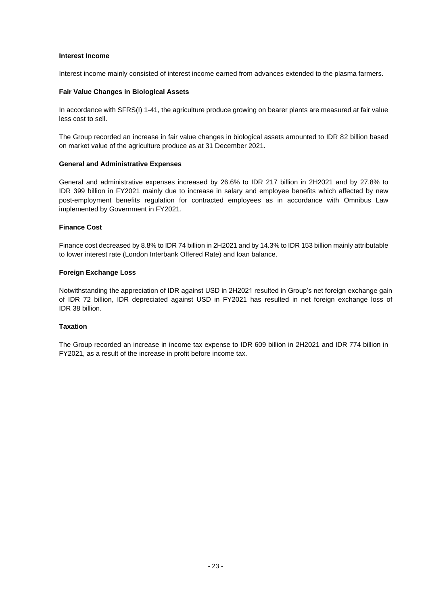#### **Interest Income**

Interest income mainly consisted of interest income earned from advances extended to the plasma farmers.

#### **Fair Value Changes in Biological Assets**

In accordance with SFRS(I) 1-41, the agriculture produce growing on bearer plants are measured at fair value less cost to sell.

The Group recorded an increase in fair value changes in biological assets amounted to IDR 82 billion based on market value of the agriculture produce as at 31 December 2021.

#### **General and Administrative Expenses**

General and administrative expenses increased by 26.6% to IDR 217 billion in 2H2021 and by 27.8% to IDR 399 billion in FY2021 mainly due to increase in salary and employee benefits which affected by new post-employment benefits regulation for contracted employees as in accordance with Omnibus Law implemented by Government in FY2021.

#### **Finance Cost**

Finance cost decreased by 8.8% to IDR 74 billion in 2H2021 and by 14.3% to IDR 153 billion mainly attributable to lower interest rate (London Interbank Offered Rate) and loan balance.

#### **Foreign Exchange Loss**

Notwithstanding the appreciation of IDR against USD in 2H2021 resulted in Group's net foreign exchange gain of IDR 72 billion, IDR depreciated against USD in FY2021 has resulted in net foreign exchange loss of IDR 38 billion.

#### **Taxation**

The Group recorded an increase in income tax expense to IDR 609 billion in 2H2021 and IDR 774 billion in FY2021, as a result of the increase in profit before income tax.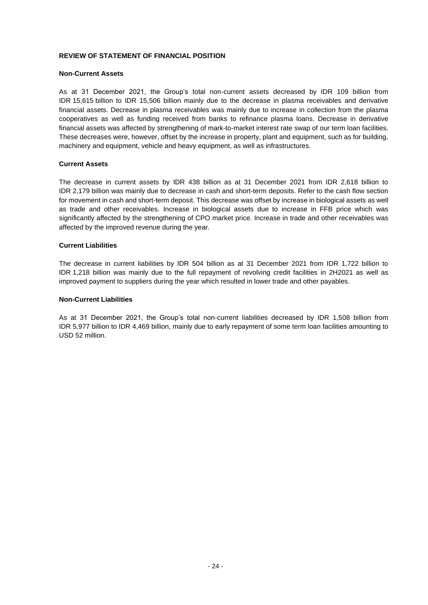#### **REVIEW OF STATEMENT OF FINANCIAL POSITION**

#### **Non-Current Assets**

As at 31 December 2021, the Group's total non-current assets decreased by IDR 109 billion from IDR 15,615 billion to IDR 15,506 billion mainly due to the decrease in plasma receivables and derivative financial assets. Decrease in plasma receivables was mainly due to increase in collection from the plasma cooperatives as well as funding received from banks to refinance plasma loans. Decrease in derivative financial assets was affected by strengthening of mark-to-market interest rate swap of our term loan facilities. These decreases were, however, offset by the increase in property, plant and equipment, such as for building, machinery and equipment, vehicle and heavy equipment, as well as infrastructures.

#### **Current Assets**

The decrease in current assets by IDR 438 billion as at 31 December 2021 from IDR 2,618 billion to IDR 2,179 billion was mainly due to decrease in cash and short-term deposits. Refer to the cash flow section for movement in cash and short-term deposit. This decrease was offset by increase in biological assets as well as trade and other receivables. Increase in biological assets due to increase in FFB price which was significantly affected by the strengthening of CPO market price. Increase in trade and other receivables was affected by the improved revenue during the year.

#### **Current Liabilities**

The decrease in current liabilities by IDR 504 billion as at 31 December 2021 from IDR 1,722 billion to IDR 1,218 billion was mainly due to the full repayment of revolving credit facilities in 2H2021 as well as improved payment to suppliers during the year which resulted in lower trade and other payables.

#### **Non-Current Liabilities**

As at 31 December 2021, the Group's total non-current liabilities decreased by IDR 1,508 billion from IDR 5,977 billion to IDR 4,469 billion, mainly due to early repayment of some term loan facilities amounting to USD 52 million.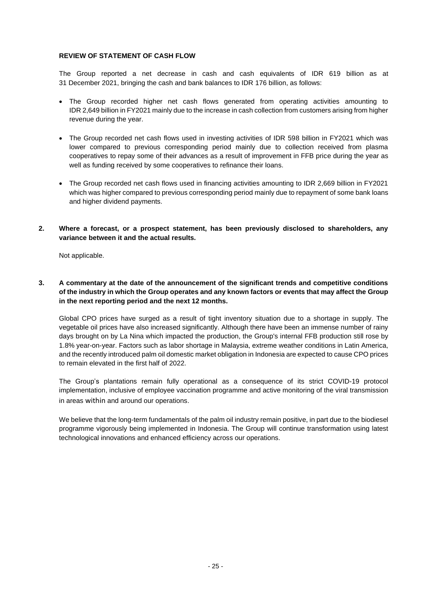# **REVIEW OF STATEMENT OF CASH FLOW**

The Group reported a net decrease in cash and cash equivalents of IDR 619 billion as at 31 December 2021, bringing the cash and bank balances to IDR 176 billion, as follows:

- The Group recorded higher net cash flows generated from operating activities amounting to IDR 2,649 billion in FY2021 mainly due to the increase in cash collection from customers arising from higher revenue during the year.
- The Group recorded net cash flows used in investing activities of IDR 598 billion in FY2021 which was lower compared to previous corresponding period mainly due to collection received from plasma cooperatives to repay some of their advances as a result of improvement in FFB price during the year as well as funding received by some cooperatives to refinance their loans.
- The Group recorded net cash flows used in financing activities amounting to IDR 2,669 billion in FY2021 which was higher compared to previous corresponding period mainly due to repayment of some bank loans and higher dividend payments.
- **2. Where a forecast, or a prospect statement, has been previously disclosed to shareholders, any variance between it and the actual results.**

Not applicable.

# **3. A commentary at the date of the announcement of the significant trends and competitive conditions of the industry in which the Group operates and any known factors or events that may affect the Group in the next reporting period and the next 12 months.**

Global CPO prices have surged as a result of tight inventory situation due to a shortage in supply. The vegetable oil prices have also increased significantly. Although there have been an immense number of rainy days brought on by La Nina which impacted the production, the Group's internal FFB production still rose by 1.8% year-on-year. Factors such as labor shortage in Malaysia, extreme weather conditions in Latin America, and the recently introduced palm oil domestic market obligation in Indonesia are expected to cause CPO prices to remain elevated in the first half of 2022.

The Group's plantations remain fully operational as a consequence of its strict COVID-19 protocol implementation, inclusive of employee vaccination programme and active monitoring of the viral transmission in areas within and around our operations.

We believe that the long-term fundamentals of the palm oil industry remain positive, in part due to the biodiesel programme vigorously being implemented in Indonesia. The Group will continue transformation using latest technological innovations and enhanced efficiency across our operations.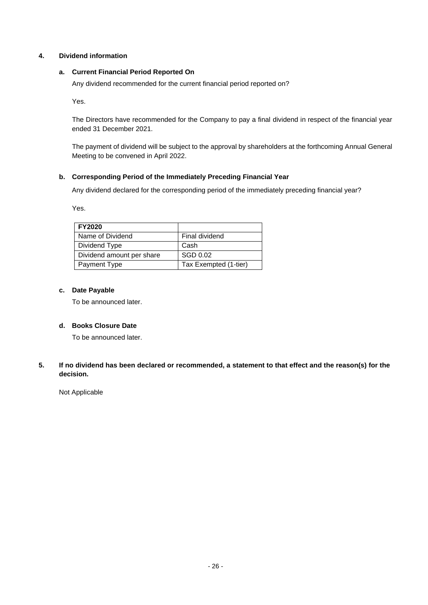# **4. Dividend information**

# **a. Current Financial Period Reported On**

Any dividend recommended for the current financial period reported on?

Yes.

The Directors have recommended for the Company to pay a final dividend in respect of the financial year ended 31 December 2021.

The payment of dividend will be subject to the approval by shareholders at the forthcoming Annual General Meeting to be convened in April 2022.

# **b. Corresponding Period of the Immediately Preceding Financial Year**

Any dividend declared for the corresponding period of the immediately preceding financial year?

Yes.

| <b>FY2020</b>             |                       |
|---------------------------|-----------------------|
| Name of Dividend          | Final dividend        |
| Dividend Type             | Cash                  |
| Dividend amount per share | SGD 0.02              |
| Payment Type              | Tax Exempted (1-tier) |

#### **c. Date Payable**

To be announced later.

# **d. Books Closure Date**

To be announced later.

# **5. If no dividend has been declared or recommended, a statement to that effect and the reason(s) for the decision.**

Not Applicable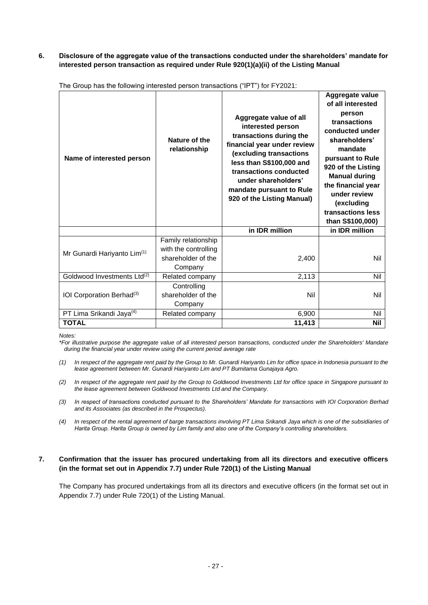# **6. Disclosure of the aggregate value of the transactions conducted under the shareholders' mandate for interested person transaction as required under Rule 920(1)(a)(ii) of the Listing Manual**

| Name of interested person               | Nature of the<br>relationship                                                | Aggregate value of all<br>interested person<br>transactions during the<br>financial year under review<br>(excluding transactions<br>less than S\$100,000 and<br>transactions conducted<br>under shareholders'<br>mandate pursuant to Rule<br>920 of the Listing Manual) | Aggregate value<br>of all interested<br>person<br>transactions<br>conducted under<br>shareholders'<br>mandate<br>pursuant to Rule<br>920 of the Listing<br><b>Manual during</b><br>the financial year<br>under review<br>(excluding<br>transactions less<br>than S\$100,000) |
|-----------------------------------------|------------------------------------------------------------------------------|-------------------------------------------------------------------------------------------------------------------------------------------------------------------------------------------------------------------------------------------------------------------------|------------------------------------------------------------------------------------------------------------------------------------------------------------------------------------------------------------------------------------------------------------------------------|
|                                         |                                                                              | in IDR million                                                                                                                                                                                                                                                          | in IDR million                                                                                                                                                                                                                                                               |
| Mr Gunardi Hariyanto Lim <sup>(1)</sup> | Family relationship<br>with the controlling<br>shareholder of the<br>Company | 2,400                                                                                                                                                                                                                                                                   | Nil                                                                                                                                                                                                                                                                          |
| Goldwood Investments Ltd <sup>(2)</sup> | Related company                                                              | 2,113                                                                                                                                                                                                                                                                   | Nil                                                                                                                                                                                                                                                                          |
| IOI Corporation Berhad <sup>(3)</sup>   | Controlling<br>shareholder of the<br>Company                                 | Nil                                                                                                                                                                                                                                                                     | Nil                                                                                                                                                                                                                                                                          |
| PT Lima Srikandi Jaya <sup>(4)</sup>    | Related company                                                              | 6,900                                                                                                                                                                                                                                                                   | Nil                                                                                                                                                                                                                                                                          |
| <b>TOTAL</b>                            |                                                                              | 11,413                                                                                                                                                                                                                                                                  | <b>Nil</b>                                                                                                                                                                                                                                                                   |

The Group has the following interested person transactions ("IPT") for FY2021:

*Notes:*

*\*For illustrative purpose the aggregate value of all interested person transactions, conducted under the Shareholders' Mandate during the financial year under review using the current period average rate* 

- *(1) In respect of the aggregate rent paid by the Group to Mr. Gunardi Hariyanto Lim for office space in Indonesia pursuant to the lease agreement between Mr. Gunardi Hariyanto Lim and PT Bumitama Gunajaya Agro.*
- *(2) In respect of the aggregate rent paid by the Group to Goldwood Investments Ltd for office space in Singapore pursuant to the lease agreement between Goldwood Investments Ltd and the Company.*
- *(3) In respect of transactions conducted pursuant to the Shareholders' Mandate for transactions with IOI Corporation Berhad and its Associates (as described in the Prospectus).*
- *(4) In respect of the rental agreement of barge transactions involving PT Lima Srikandi Jaya which is one of the subsidiaries of Harita Group. Harita Group is owned by Lim family and also one of the Company's controlling shareholders.*

# **7. Confirmation that the issuer has procured undertaking from all its directors and executive officers (in the format set out in Appendix 7.7) under Rule 720(1) of the Listing Manual**

The Company has procured undertakings from all its directors and executive officers (in the format set out in Appendix 7.7) under Rule 720(1) of the Listing Manual.